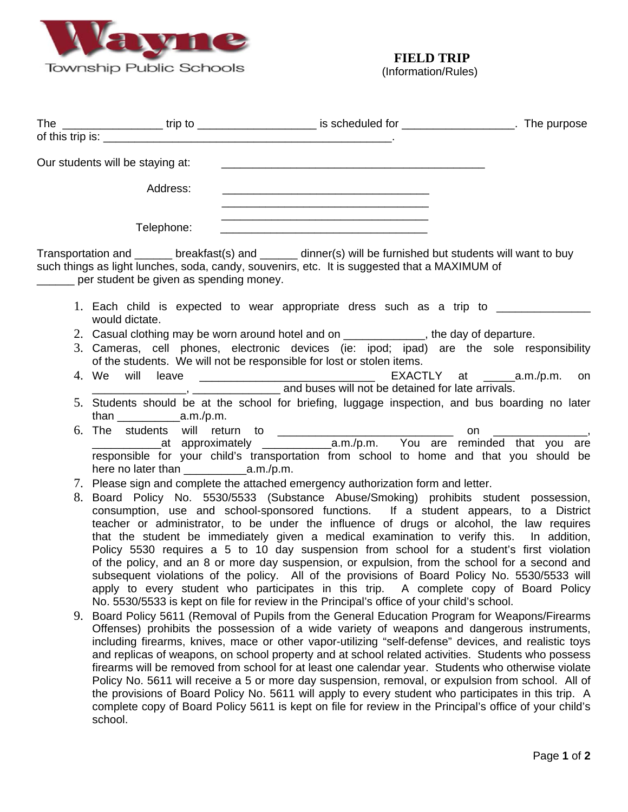

school.

(Information/Rules)

|                                         | The ___________________trip to _______________________ is scheduled for ____________________. The purpose                                                                                                                                                                                                                                                                                                                                                                                                                                                                                                                                                                                                                                                                                                                                                     |  |
|-----------------------------------------|---------------------------------------------------------------------------------------------------------------------------------------------------------------------------------------------------------------------------------------------------------------------------------------------------------------------------------------------------------------------------------------------------------------------------------------------------------------------------------------------------------------------------------------------------------------------------------------------------------------------------------------------------------------------------------------------------------------------------------------------------------------------------------------------------------------------------------------------------------------|--|
|                                         |                                                                                                                                                                                                                                                                                                                                                                                                                                                                                                                                                                                                                                                                                                                                                                                                                                                               |  |
| Our students will be staying at:        |                                                                                                                                                                                                                                                                                                                                                                                                                                                                                                                                                                                                                                                                                                                                                                                                                                                               |  |
| Address:                                |                                                                                                                                                                                                                                                                                                                                                                                                                                                                                                                                                                                                                                                                                                                                                                                                                                                               |  |
| Telephone:                              |                                                                                                                                                                                                                                                                                                                                                                                                                                                                                                                                                                                                                                                                                                                                                                                                                                                               |  |
| per student be given as spending money. | Transportation and ______ breakfast(s) and ______ dinner(s) will be furnished but students will want to buy<br>such things as light lunches, soda, candy, souvenirs, etc. It is suggested that a MAXIMUM of                                                                                                                                                                                                                                                                                                                                                                                                                                                                                                                                                                                                                                                   |  |
| would dictate.                          | 1. Each child is expected to wear appropriate dress such as a trip to __________                                                                                                                                                                                                                                                                                                                                                                                                                                                                                                                                                                                                                                                                                                                                                                              |  |
|                                         | 2. Casual clothing may be worn around hotel and on _____________, the day of departure.                                                                                                                                                                                                                                                                                                                                                                                                                                                                                                                                                                                                                                                                                                                                                                       |  |
|                                         | 3. Cameras, cell phones, electronic devices (ie: ipod; ipad) are the sole responsibility<br>of the students. We will not be responsible for lost or stolen items.                                                                                                                                                                                                                                                                                                                                                                                                                                                                                                                                                                                                                                                                                             |  |
|                                         | and buses will not be detained for late arrivals.                                                                                                                                                                                                                                                                                                                                                                                                                                                                                                                                                                                                                                                                                                                                                                                                             |  |
|                                         | 5. Students should be at the school for briefing, luggage inspection, and bus boarding no later                                                                                                                                                                                                                                                                                                                                                                                                                                                                                                                                                                                                                                                                                                                                                               |  |
|                                         | responsible for your child's transportation from school to home and that you should be                                                                                                                                                                                                                                                                                                                                                                                                                                                                                                                                                                                                                                                                                                                                                                        |  |
|                                         | 7. Please sign and complete the attached emergency authorization form and letter.                                                                                                                                                                                                                                                                                                                                                                                                                                                                                                                                                                                                                                                                                                                                                                             |  |
|                                         | 8. Board Policy No. 5530/5533 (Substance Abuse/Smoking) prohibits student possession,<br>consumption, use and school-sponsored functions. If a student appears, to a District<br>teacher or administrator, to be under the influence of drugs or alcohol, the law requires<br>that the student be immediately given a medical examination to verify this. In addition,<br>Policy 5530 requires a 5 to 10 day suspension from school for a student's first violation<br>of the policy, and an 8 or more day suspension, or expulsion, from the school for a second and<br>subsequent violations of the policy. All of the provisions of Board Policy No. 5530/5533 will<br>apply to every student who participates in this trip. A complete copy of Board Policy<br>No. 5530/5533 is kept on file for review in the Principal's office of your child's school. |  |
|                                         | 9. Board Policy 5611 (Removal of Pupils from the General Education Program for Weapons/Firearms<br>Offenses) prohibits the possession of a wide variety of weapons and dangerous instruments,<br>including firearms, knives, mace or other vapor-utilizing "self-defense" devices, and realistic toys<br>and replicas of weapons, on school property and at school related activities. Students who possess<br>firearms will be removed from school for at least one calendar year. Students who otherwise violate<br>Policy No. 5611 will receive a 5 or more day suspension, removal, or expulsion from school. All of<br>the provisions of Board Policy No. 5611 will apply to every student who participates in this trip. A<br>complete copy of Board Policy 5611 is kept on file for review in the Principal's office of your child's                   |  |